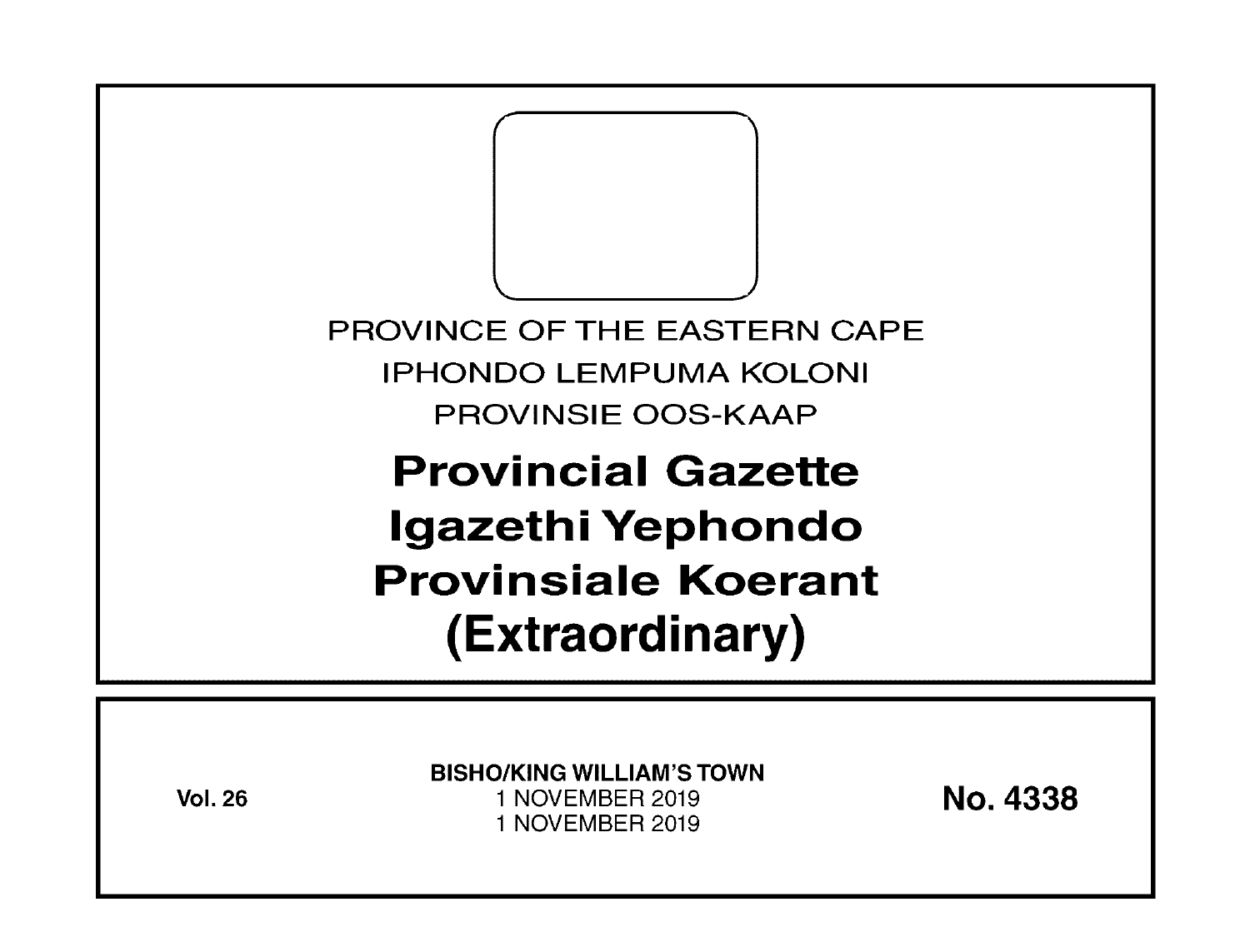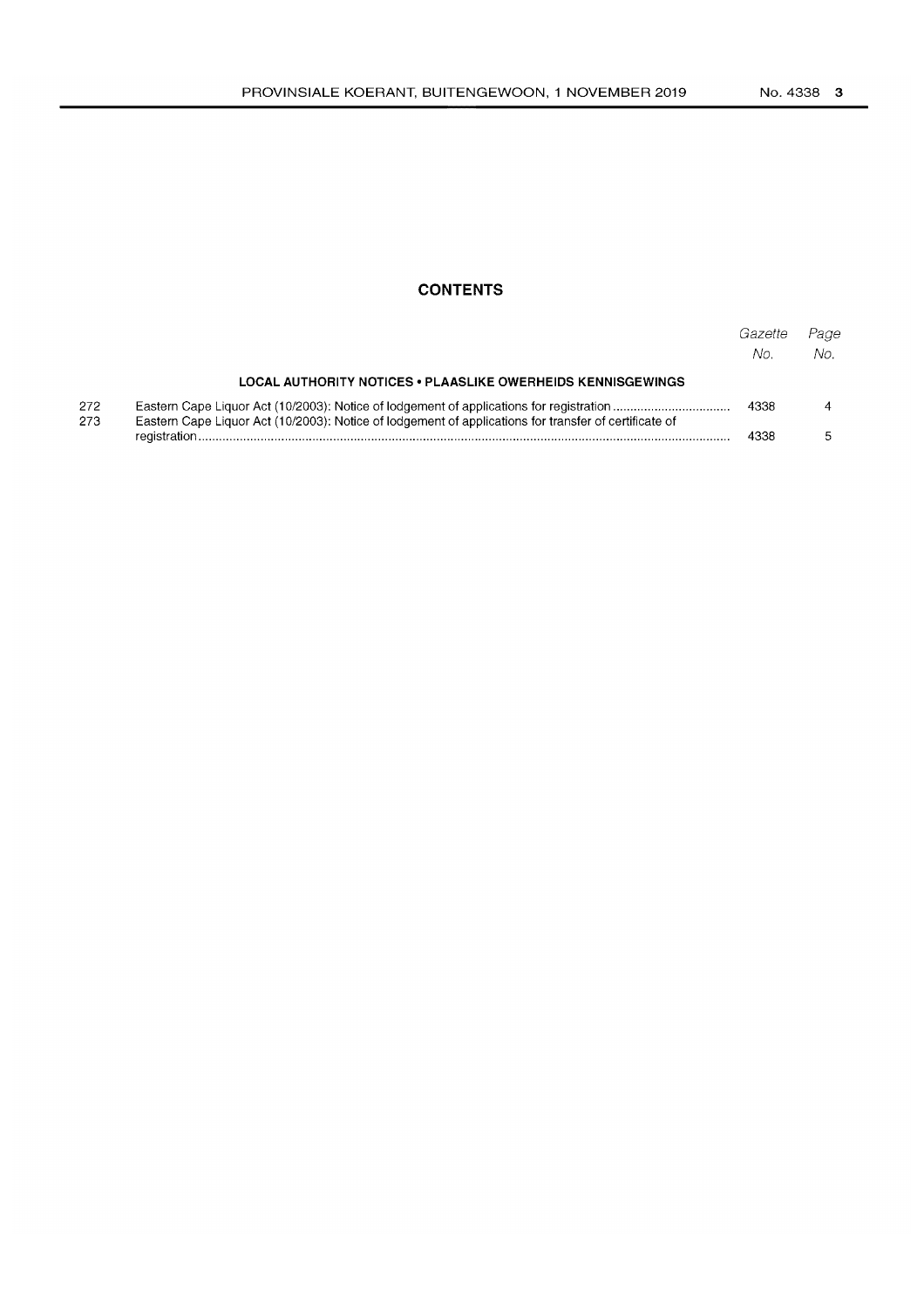# **CONTENTS**

|             |                                                                                                       | Gazette<br>No. | Page<br>No. |
|-------------|-------------------------------------------------------------------------------------------------------|----------------|-------------|
|             | LOCAL AUTHORITY NOTICES • PLAASLIKE OWERHEIDS KENNISGEWINGS                                           |                |             |
| 272.<br>273 | Eastern Cape Liquor Act (10/2003): Notice of lodgement of applications for transfer of certificate of | 4338           |             |
|             |                                                                                                       | 4338           |             |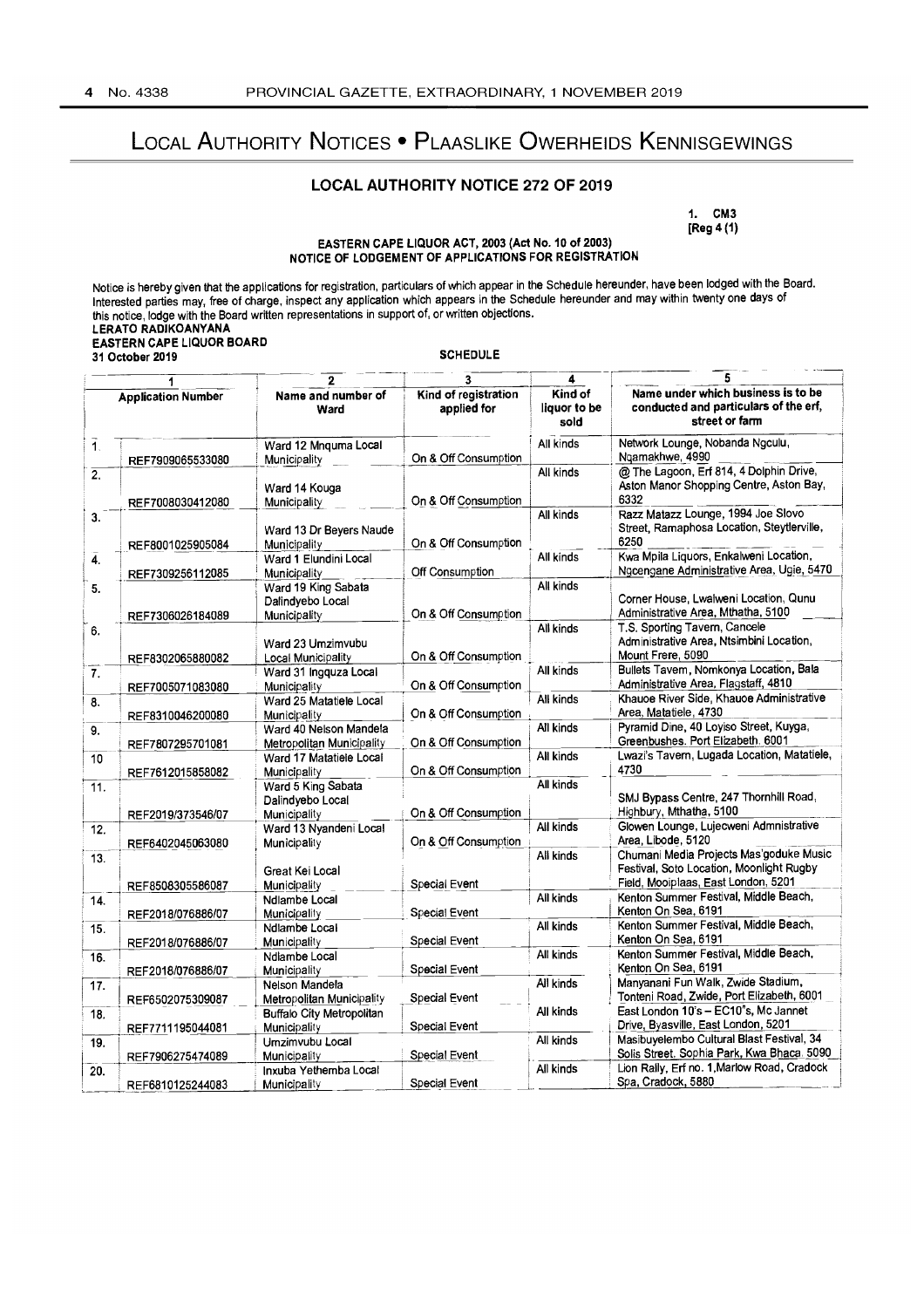# LOCAL AUTHORITY NOTICES • PLAASLIKE OWERHEIDS KENNISGEWINGS

## **LOCAL AUTHORITY NOTICE** 272 **OF** 2019

1. CM3 [Reg 4 (1)

#### EASTERN CAPE LIQUOR ACT, 2003 (Act No. 10 of 2003) NOTICE OF LODGEMENT OF APPLICATIONS FOR REGISTRATION

|                                    | <b>EASTERN CAPE LIQUOR BOARD</b> |                                                |                                     |                                 |                                                                                               |  |  |  |
|------------------------------------|----------------------------------|------------------------------------------------|-------------------------------------|---------------------------------|-----------------------------------------------------------------------------------------------|--|--|--|
| <b>SCHEDULE</b><br>31 October 2019 |                                  |                                                |                                     |                                 |                                                                                               |  |  |  |
|                                    | 1                                | $\mathbf{2}$                                   | 3                                   | 4                               | 5                                                                                             |  |  |  |
| <b>Application Number</b>          |                                  | Name and number of<br>Ward                     | Kind of registration<br>applied for | Kind of<br>liquor to be<br>sold | Name under which business is to be<br>conducted and particulars of the erf,<br>street or farm |  |  |  |
| $\overline{1}$ .                   |                                  | Ward 12 Mnguma Local                           | On & Off Consumption                | All kinds                       | Network Lounge, Nobanda Ngculu,<br>Ngamakhwe, 4990                                            |  |  |  |
| $\overline{2}$ .                   | REF7909065533080                 | Municipality                                   |                                     | All kinds                       | @ The Lagoon, Erf 814, 4 Dolphin Drive,                                                       |  |  |  |
|                                    | REF7008030412080                 | Ward 14 Kouga<br>Municipality                  | On & Off Consumption                |                                 | Aston Manor Shopping Centre, Aston Bay,<br>6332                                               |  |  |  |
| 3.                                 |                                  |                                                |                                     | All kinds                       | Razz Matazz Lounge, 1994 Joe Slovo                                                            |  |  |  |
|                                    | REF8001025905084                 | Ward 13 Dr Beyers Naude<br><b>Municipality</b> | On & Off Consumption                |                                 | Street, Ramaphosa Location, Steytlerville,<br>6250                                            |  |  |  |
| 4.                                 |                                  | Ward 1 Elundini Local                          |                                     | All kinds                       | Kwa Mpila Liquors, Enkalweni Location,                                                        |  |  |  |
|                                    | REF7309256112085                 | Municipality                                   | Off Consumption                     |                                 | Ngcengane Administrative Area, Ugie, 5470                                                     |  |  |  |
| 5.                                 |                                  | Ward 19 King Sabata                            |                                     | All kinds                       |                                                                                               |  |  |  |
|                                    |                                  | Dalindyebo Local                               |                                     |                                 | Corner House, Lwalweni Location, Qunu                                                         |  |  |  |
|                                    | REF7306026184089                 | Municipality                                   | On & Off Consumption                |                                 | Administrative Area, Mthatha, 5100                                                            |  |  |  |
| 6.                                 |                                  |                                                |                                     | All kinds                       | T.S. Sporting Tavern, Cancele                                                                 |  |  |  |
|                                    |                                  | Ward 23 Umzimvubu                              |                                     |                                 | Administrative Area, Ntsimbini Location,                                                      |  |  |  |
|                                    | REF8302065880082                 | <b>Local Municipality</b>                      | On & Off Consumption                |                                 | Mount Frere, 5090                                                                             |  |  |  |
| 7.                                 |                                  | Ward 31 Ingquza Local                          |                                     | All kinds                       | Bullets Tavem, Nomkonya Location, Bala<br>Administrative Area, Flagstaff, 4810                |  |  |  |
|                                    | REF7005071083080                 | Municipality                                   | On & Off Consumption                | All kinds                       | Khauoe River Side, Khauoe Administrative                                                      |  |  |  |
| 8.                                 |                                  | Ward 25 Matatiele Local<br>Municipality        | On & Off Consumption                |                                 | Area, Matatiele, 4730                                                                         |  |  |  |
|                                    | REF8310046200080                 | Ward 40 Nelson Mandela                         |                                     | All kinds                       | Pyramid Dine, 40 Loyiso Street, Kuyga,                                                        |  |  |  |
| 9.                                 | REF7807295701081                 | <b>Metropolitan Municipality</b>               | On & Off Consumption                |                                 | Greenbushes. Port Elizabeth. 6001                                                             |  |  |  |
| 10                                 |                                  | Ward 17 Matatiele Local                        |                                     | All kinds                       | Lwazi's Tavern, Lugada Location, Matatiele,                                                   |  |  |  |
|                                    | REF7612015858082                 | Municipality                                   | On & Off Consumption                |                                 | 4730                                                                                          |  |  |  |
| 11.                                |                                  | Ward 5 King Sabata                             |                                     | All kinds                       |                                                                                               |  |  |  |
|                                    |                                  | Dalindyebo Local                               |                                     |                                 | SMJ Bypass Centre, 247 Thornhill Road,                                                        |  |  |  |
|                                    | REF2019/373546/07                | Municipality                                   | On & Off Consumption                |                                 | Highbury, Mthatha, 5100                                                                       |  |  |  |
| 12.                                |                                  | Ward 13 Nyandeni Local                         |                                     | All kinds                       | Glowen Lounge, Lujecweni Admnistrative                                                        |  |  |  |
|                                    | REF6402045063080                 | Municipality                                   | On & Off Consumption                |                                 | Area, Libode, 5120                                                                            |  |  |  |
| 13.                                |                                  |                                                |                                     | All kinds                       | Chumani Media Projects Mas'goduke Music                                                       |  |  |  |
|                                    |                                  | Great Kei Local                                |                                     |                                 | Festival, Soto Location, Moonlight Rugby                                                      |  |  |  |
|                                    | REF8508305586087                 | Municipality                                   | Special Event                       |                                 | Field, Mooiplaas, East London, 5201<br>Kenton Summer Festival, Middle Beach,                  |  |  |  |
| 14.                                |                                  | Ndlambe Local                                  |                                     | All kinds                       | Kenton On Sea, 6191                                                                           |  |  |  |
|                                    | REF2018/076886/07                | Municipality                                   | Special Event                       | All kinds                       | Kenton Summer Festival, Middle Beach,                                                         |  |  |  |
| 15.                                |                                  | Ndlambe Local<br><b>Municipality</b>           | Special Event                       |                                 | Kenton On Sea, 6191                                                                           |  |  |  |
| 16.                                | REF2018/076886/07                | Ndlambe Local                                  |                                     | All kinds                       | Kenton Summer Festival, Middle Beach,                                                         |  |  |  |
|                                    | REF2018/076886/07                | Municipality                                   | Special Event                       |                                 | Kenton On Sea, 6191                                                                           |  |  |  |
| 17.                                |                                  | Nelson Mandela                                 |                                     | All kinds                       | Manyanani Fun Walk, Zwide Stadium,                                                            |  |  |  |
|                                    | REF6502075309087                 | <b>Metropolitan Municipality</b>               | Special Event                       |                                 | Tonteni Road, Zwide, Port Elizabeth, 6001                                                     |  |  |  |
| 18.                                |                                  | <b>Buffalo City Metropolitan</b>               |                                     | All kinds                       | East London 10's - EC10"s, Mc Jannet                                                          |  |  |  |
|                                    | REF7711195044081                 | <b>Municipality</b>                            | Special Event                       |                                 | Drive, Byasville, East London, 5201                                                           |  |  |  |
| 19.                                |                                  | Umzimvubu Local                                |                                     | All kinds                       | Masibuyelembo Cultural Blast Festival, 34                                                     |  |  |  |
|                                    | REF7906275474089                 | Municipality                                   | Special Event                       |                                 | Solis Street. Sophia Park, Kwa Bhaca. 5090                                                    |  |  |  |
| 20.                                |                                  | Inxuba Yethemba Local                          |                                     | All kinds                       | Lion Rally, Erf no. 1, Marlow Road, Cradock                                                   |  |  |  |
|                                    | REF6810125244083                 | <b>Municipality</b>                            | Special Event                       |                                 | Spa, Cradock, 5880                                                                            |  |  |  |